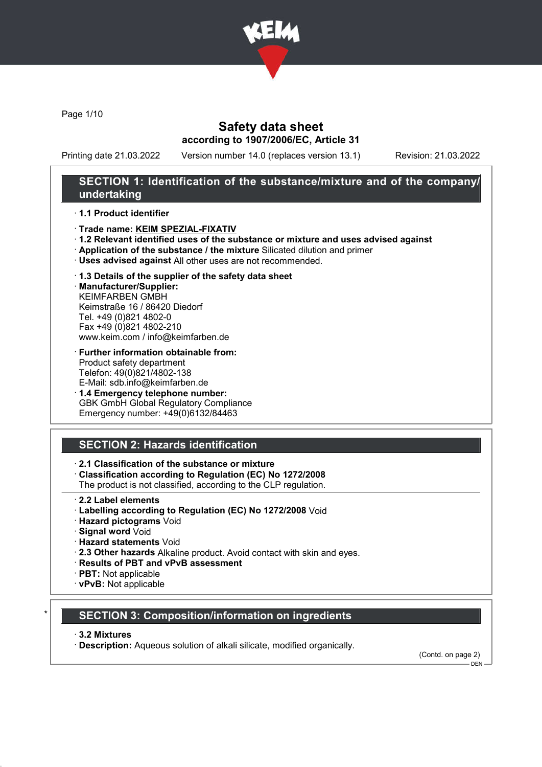

Page 1/10

## Safety data sheet according to 1907/2006/EC, Article 31

Printing date 21.03.2022 Version number 14.0 (replaces version 13.1) Revision: 21.03.2022

## SECTION 1: Identification of the substance/mixture and of the company/ undertaking

### · 1.1 Product identifier

- · Trade name: KEIM SPEZIAL-FIXATIV
- · 1.2 Relevant identified uses of the substance or mixture and uses advised against
- · Application of the substance / the mixture Silicated dilution and primer
- · Uses advised against All other uses are not recommended.

### · 1.3 Details of the supplier of the safety data sheet

· Manufacturer/Supplier: KEIMFARBEN GMBH Keimstraße 16 / 86420 Diedorf Tel. +49 (0)821 4802-0 Fax +49 (0)821 4802-210 www.keim.com / info@keimfarben.de

- · Further information obtainable from: Product safety department Telefon: 49(0)821/4802-138 E-Mail: sdb.info@keimfarben.de
- · 1.4 Emergency telephone number: GBK GmbH Global Regulatory Compliance Emergency number: +49(0)6132/84463

# SECTION 2: Hazards identification

### · 2.1 Classification of the substance or mixture

· Classification according to Regulation (EC) No 1272/2008

The product is not classified, according to the CLP regulation.

- 2.2 Label elements
- · Labelling according to Regulation (EC) No 1272/2008 Void
- · Hazard pictograms Void
- · Signal word Void
- · Hazard statements Void
- · 2.3 Other hazards Alkaline product. Avoid contact with skin and eyes.
- · Results of PBT and vPvB assessment
- · PBT: Not applicable
- · vPvB: Not applicable

## **SECTION 3: Composition/information on ingredients**

#### · 3.2 Mixtures

· Description: Aqueous solution of alkali silicate, modified organically.

(Contd. on page 2)  $-$  DEN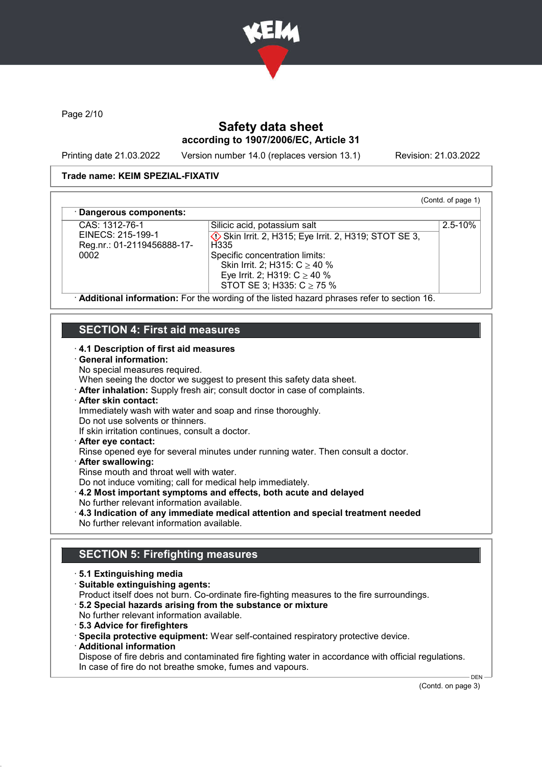

Page 2/10

# Safety data sheet according to 1907/2006/EC, Article 31

Printing date 21.03.2022 Version number 14.0 (replaces version 13.1) Revision: 21.03.2022

(Contd. of page 1)

2.5-10%

### Trade name: KEIM SPEZIAL-FIXATIV

### Dangerous components:

CAS: 1312-76-1 EINECS: 215-199-1 Reg.nr.: 01-2119456888-17- 0002

**♦ Skin Irrit. 2, H315; Eye Irrit. 2, H319; STOT SE 3, H335** Specific concentration limits: Skin Irrit. 2; H315: C ≥ 40 % Eye Irrit. 2; H319: C ≥ 40 % STOT SE 3; H335: C ≥ 75 %

Silicic acid, potassium salt

· Additional information: For the wording of the listed hazard phrases refer to section 16.

# SECTION 4: First aid measures

### · 4.1 Description of first aid measures

#### · General information:

No special measures required.

When seeing the doctor we suggest to present this safety data sheet.

· After inhalation: Supply fresh air; consult doctor in case of complaints.

# · After skin contact:

Immediately wash with water and soap and rinse thoroughly.

Do not use solvents or thinners.

If skin irritation continues, consult a doctor.

· After eye contact:

Rinse opened eye for several minutes under running water. Then consult a doctor.

- · After swallowing:
- Rinse mouth and throat well with water.

Do not induce vomiting; call for medical help immediately.

· 4.2 Most important symptoms and effects, both acute and delayed

- No further relevant information available.
- · 4.3 Indication of any immediate medical attention and special treatment needed No further relevant information available.

# SECTION 5: Firefighting measures

- · 5.1 Extinguishing media
- · Suitable extinguishing agents:

Product itself does not burn. Co-ordinate fire-fighting measures to the fire surroundings.

- · 5.2 Special hazards arising from the substance or mixture
- No further relevant information available.
- · 5.3 Advice for firefighters

· Specila protective equipment: Wear self-contained respiratory protective device.

· Additional information

Dispose of fire debris and contaminated fire fighting water in accordance with official regulations. In case of fire do not breathe smoke, fumes and vapours.

(Contd. on page 3)

 $DEN$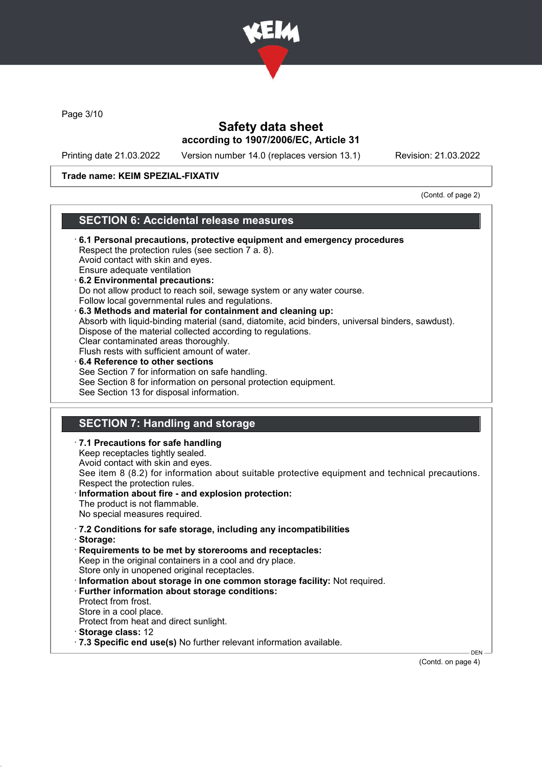

Page 3/10

# Safety data sheet according to 1907/2006/EC, Article 31

Printing date 21.03.2022 Version number 14.0 (replaces version 13.1) Revision: 21.03.2022

### Trade name: KEIM SPEZIAL-FIXATIV

(Contd. of page 2)

## SECTION 6: Accidental release measures

- · 6.1 Personal precautions, protective equipment and emergency procedures Respect the protection rules (see section 7 a. 8). Avoid contact with skin and eyes. Ensure adequate ventilation · 6.2 Environmental precautions: Do not allow product to reach soil, sewage system or any water course. Follow local governmental rules and regulations. · 6.3 Methods and material for containment and cleaning up: Absorb with liquid-binding material (sand, diatomite, acid binders, universal binders, sawdust). Dispose of the material collected according to regulations. Clear contaminated areas thoroughly. Flush rests with sufficient amount of water. 6.4 Reference to other sections See Section 7 for information on safe handling. See Section 8 for information on personal protection equipment. See Section 13 for disposal information. SECTION 7: Handling and storage · 7.1 Precautions for safe handling
- Keep receptacles tightly sealed. Avoid contact with skin and eyes. See item 8 (8.2) for information about suitable protective equipment and technical precautions. Respect the protection rules. Information about fire - and explosion protection: The product is not flammable. No special measures required. · 7.2 Conditions for safe storage, including any incompatibilities · Storage: · Requirements to be met by storerooms and receptacles: Keep in the original containers in a cool and dry place. Store only in unopened original receptacles. · Information about storage in one common storage facility: Not required. · Further information about storage conditions: Protect from frost. Store in a cool place. Protect from heat and direct sunlight. · Storage class: 12 · 7.3 Specific end use(s) No further relevant information available. DEN

(Contd. on page 4)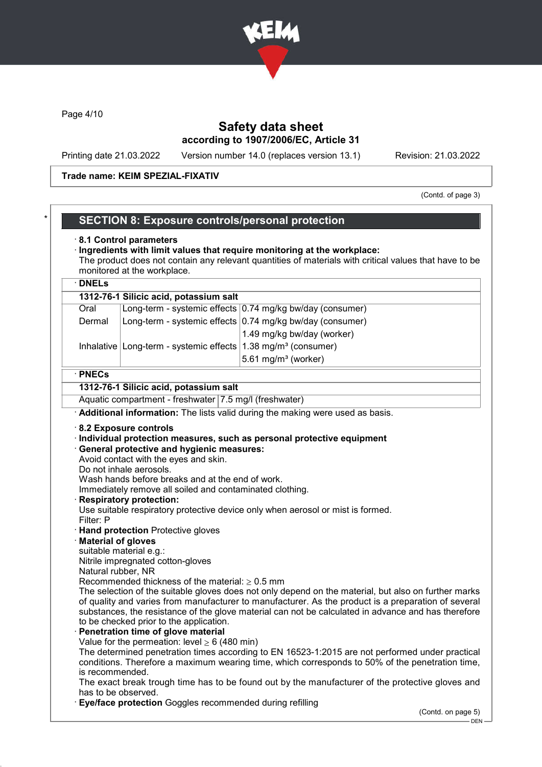

Page 4/10

## Safety data sheet according to 1907/2006/EC, Article 31

Printing date 21.03.2022 Version number 14.0 (replaces version 13.1) Revision: 21.03.2022

### Trade name: KEIM SPEZIAL-FIXATIV

(Contd. of page 3)

## SECTION 8: Exposure controls/personal protection

#### · 8.1 Control parameters

#### · Ingredients with limit values that require monitoring at the workplace: The product does not contain any relevant quantities of materials with critical values that have to be monitored at the workplace.

## · DNELs 1312-76-1 Silicic acid, potassium salt Oral Long-term - systemic effects 0.74 mg/kg bw/day (consumer) Dermal  $\vert$  Long-term - systemic effects 0.74 mg/kg bw/day (consumer) 1.49 mg/kg bw/day (worker) Inhalative Long-term - systemic effects  $1.38$  mg/m<sup>3</sup> (consumer)  $5.61$  mg/m $3$  (worker)

#### · PNECs

### 1312-76-1 Silicic acid, potassium salt

Aquatic compartment - freshwater 7.5 mg/l (freshwater)

· Additional information: The lists valid during the making were used as basis.

#### · 8.2 Exposure controls

· Individual protection measures, such as personal protective equipment

#### · General protective and hygienic measures:

Avoid contact with the eyes and skin.

Do not inhale aerosols.

Wash hands before breaks and at the end of work.

Immediately remove all soiled and contaminated clothing.

**Respiratory protection:** 

Use suitable respiratory protective device only when aerosol or mist is formed. Filter: P

- · Hand protection Protective gloves
- · Material of gloves
- suitable material e.g.:

Nitrile impregnated cotton-gloves

Natural rubber, NR

Recommended thickness of the material:  $\geq 0.5$  mm

The selection of the suitable gloves does not only depend on the material, but also on further marks of quality and varies from manufacturer to manufacturer. As the product is a preparation of several substances, the resistance of the glove material can not be calculated in advance and has therefore to be checked prior to the application.

#### Penetration time of glove material

Value for the permeation: level  $\geq 6$  (480 min)

The determined penetration times according to EN 16523-1:2015 are not performed under practical conditions. Therefore a maximum wearing time, which corresponds to 50% of the penetration time, is recommended.

The exact break trough time has to be found out by the manufacturer of the protective gloves and has to be observed.

**Eye/face protection** Goggles recommended during refilling

(Contd. on page 5)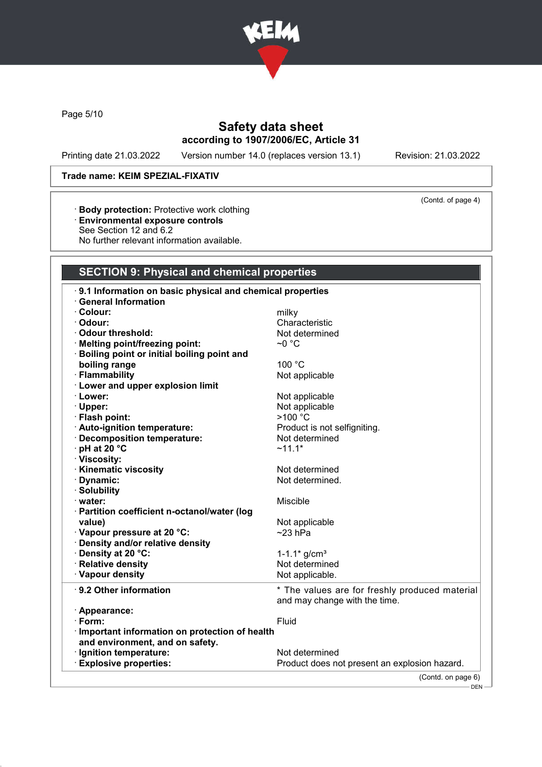

Page 5/10

# Safety data sheet according to 1907/2006/EC, Article 31

Printing date 21.03.2022 Version number 14.0 (replaces version 13.1) Revision: 21.03.2022

(Contd. of page 4)

### Trade name: KEIM SPEZIAL-FIXATIV

- · Body protection: Protective work clothing
- · Environmental exposure controls
- See Section 12 and 6.2
- No further relevant information available.

# SECTION 9: Physical and chemical properties

| 9.1 Information on basic physical and chemical properties |                                                |
|-----------------------------------------------------------|------------------------------------------------|
| <b>General Information</b>                                |                                                |
| · Colour:                                                 | milky                                          |
| · Odour:                                                  | Characteristic                                 |
| · Odour threshold:                                        | Not determined                                 |
| · Melting point/freezing point:                           | $\sim$ 0 °C                                    |
| <b>Boiling point or initial boiling point and</b>         |                                                |
| boiling range                                             | 100 °C                                         |
| · Flammability                                            | Not applicable                                 |
| <b>Lower and upper explosion limit</b>                    |                                                |
| · Lower:                                                  | Not applicable                                 |
| · Upper:                                                  | Not applicable                                 |
| · Flash point:                                            | >100 °C                                        |
| · Auto-ignition temperature:                              | Product is not selfigniting.                   |
| · Decomposition temperature:                              | Not determined                                 |
| · pH at 20 °C                                             | $~11.1*$                                       |
| · Viscosity:                                              |                                                |
| · Kinematic viscosity                                     | Not determined                                 |
| · Dynamic:                                                | Not determined.                                |
| · Solubility                                              |                                                |
| · water:                                                  | Miscible                                       |
| · Partition coefficient n-octanol/water (log              |                                                |
| value)                                                    | Not applicable                                 |
| · Vapour pressure at 20 °C:                               | $~23$ hPa                                      |
| · Density and/or relative density                         |                                                |
| · Density at 20 °C:                                       | $1 - 1.1$ * g/cm <sup>3</sup>                  |
| · Relative density                                        | Not determined                                 |
| · Vapour density                                          | Not applicable.                                |
| ⋅ 9.2 Other information                                   | * The values are for freshly produced material |
|                                                           | and may change with the time.                  |
| · Appearance:                                             |                                                |
| $\cdot$ Form:                                             | Fluid                                          |
| · Important information on protection of health           |                                                |
| and environment, and on safety.                           |                                                |
| · Ignition temperature:                                   | Not determined                                 |
| <b>Explosive properties:</b>                              | Product does not present an explosion hazard.  |
|                                                           | (Contd. on page 6)                             |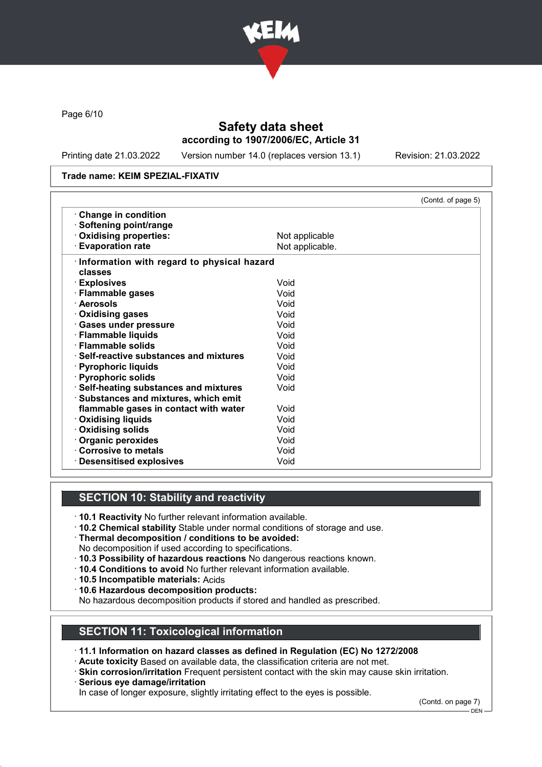

Page 6/10

# Safety data sheet according to 1907/2006/EC, Article 31

Printing date 21.03.2022 Version number 14.0 (replaces version 13.1) Revision: 21.03.2022

### Trade name: KEIM SPEZIAL-FIXATIV

|                                              | (Contd. of page 5) |
|----------------------------------------------|--------------------|
| Change in condition                          |                    |
| · Softening point/range                      |                    |
| · Oxidising properties:                      | Not applicable     |
| <b>Evaporation rate</b>                      | Not applicable.    |
| · Information with regard to physical hazard |                    |
| classes                                      |                    |
| · Explosives                                 | Void               |
| · Flammable gases                            | Void               |
| · Aerosols                                   | Void               |
| Oxidising gases                              | Void               |
| · Gases under pressure                       | Void               |
| · Flammable liquids                          | Void               |
| · Flammable solids                           | Void               |
| ⋅ Self-reactive substances and mixtures      | Void               |
| · Pyrophoric liquids                         | Void               |
| · Pyrophoric solids                          | Void               |
| · Self-heating substances and mixtures       | Void               |
| · Substances and mixtures, which emit        |                    |
| flammable gases in contact with water        | Void               |
| · Oxidising liquids                          | Void               |
| · Oxidising solids                           | Void               |
| · Organic peroxides                          | Void               |
| Corrosive to metals                          | Void               |
| · Desensitised explosives                    | Void               |

# SECTION 10: Stability and reactivity

- · 10.1 Reactivity No further relevant information available.
- · 10.2 Chemical stability Stable under normal conditions of storage and use.
- · Thermal decomposition / conditions to be avoided:
- No decomposition if used according to specifications.
- · 10.3 Possibility of hazardous reactions No dangerous reactions known.
- · 10.4 Conditions to avoid No further relevant information available.
- · 10.5 Incompatible materials: Acids
- · 10.6 Hazardous decomposition products:

No hazardous decomposition products if stored and handled as prescribed.

### SECTION 11: Toxicological information

· 11.1 Information on hazard classes as defined in Regulation (EC) No 1272/2008

- · Acute toxicity Based on available data, the classification criteria are not met.
- · Skin corrosion/irritation Frequent persistent contact with the skin may cause skin irritation.
- · Serious eye damage/irritation

In case of longer exposure, slightly irritating effect to the eyes is possible.

(Contd. on page 7)

<sup>–</sup> DEN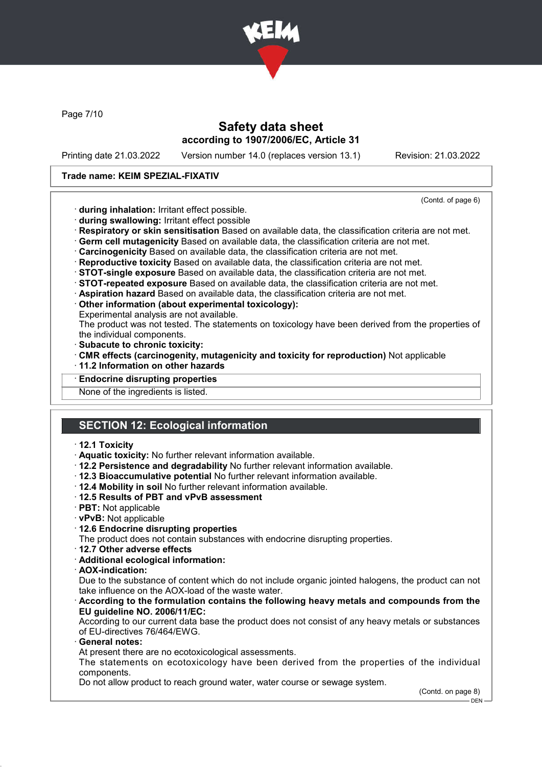

Page 7/10

## Safety data sheet according to 1907/2006/EC, Article 31

Printing date 21.03.2022 Version number 14.0 (replaces version 13.1) Revision: 21.03.2022

### Trade name: KEIM SPEZIAL-FIXATIV

(Contd. of page 6)

- · during inhalation: Irritant effect possible.
- · during swallowing: Irritant effect possible
- · Respiratory or skin sensitisation Based on available data, the classification criteria are not met.
- · Germ cell mutagenicity Based on available data, the classification criteria are not met.
- · Carcinogenicity Based on available data, the classification criteria are not met.
- · Reproductive toxicity Based on available data, the classification criteria are not met.
- · STOT-single exposure Based on available data, the classification criteria are not met.
- · STOT-repeated exposure Based on available data, the classification criteria are not met.
- · Aspiration hazard Based on available data, the classification criteria are not met.
- · Other information (about experimental toxicology):
- Experimental analysis are not available.

The product was not tested. The statements on toxicology have been derived from the properties of the individual components.

- · Subacute to chronic toxicity:
- · CMR effects (carcinogenity, mutagenicity and toxicity for reproduction) Not applicable
- · 11.2 Information on other hazards
- **Endocrine disrupting properties**

None of the ingredients is listed.

# SECTION 12: Ecological information

#### · 12.1 Toxicity

- · Aquatic toxicity: No further relevant information available.
- · 12.2 Persistence and degradability No further relevant information available.
- · 12.3 Bioaccumulative potential No further relevant information available.
- · 12.4 Mobility in soil No further relevant information available.
- · 12.5 Results of PBT and vPvB assessment
- · PBT: Not applicable
- · vPvB: Not applicable
- · 12.6 Endocrine disrupting properties
- The product does not contain substances with endocrine disrupting properties.
- · 12.7 Other adverse effects
- · Additional ecological information:
- · AOX-indication:

Due to the substance of content which do not include organic jointed halogens, the product can not take influence on the AOX-load of the waste water.

· According to the formulation contains the following heavy metals and compounds from the EU guideline NO. 2006/11/EC:

According to our current data base the product does not consist of any heavy metals or substances of EU-directives 76/464/EWG.

General notes:

At present there are no ecotoxicological assessments.

The statements on ecotoxicology have been derived from the properties of the individual components.

Do not allow product to reach ground water, water course or sewage system.

(Contd. on page 8)

<sup>-</sup> DEN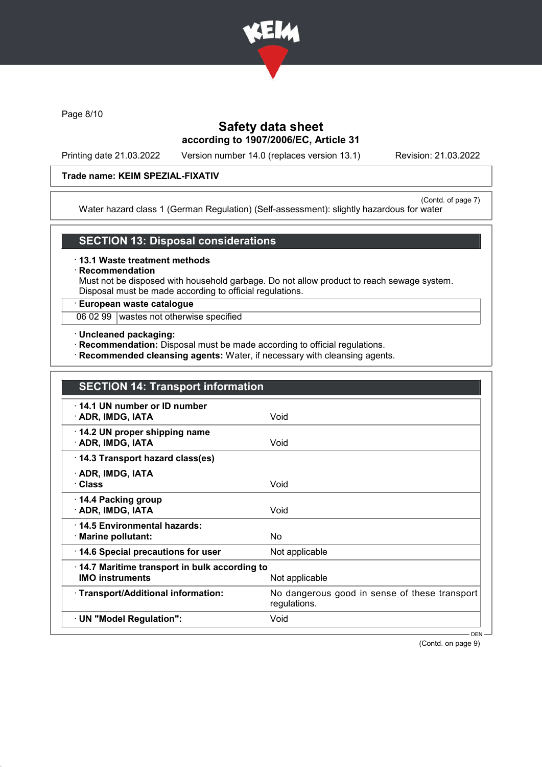

Page 8/10

# Safety data sheet according to 1907/2006/EC, Article 31

Printing date 21.03.2022 Version number 14.0 (replaces version 13.1) Revision: 21.03.2022

### Trade name: KEIM SPEZIAL-FIXATIV

(Contd. of page 7) Water hazard class 1 (German Regulation) (Self-assessment): slightly hazardous for water

### SECTION 13: Disposal considerations

· 13.1 Waste treatment methods

**Recommendation** 

Must not be disposed with household garbage. Do not allow product to reach sewage system. Disposal must be made according to official regulations.

### · European waste catalogue

06 02 99 wastes not otherwise specified

- · Uncleaned packaging:
- · Recommendation: Disposal must be made according to official regulations.
- · Recommended cleansing agents: Water, if necessary with cleansing agents.

| <b>SECTION 14: Transport information</b>                               |                                                               |
|------------------------------------------------------------------------|---------------------------------------------------------------|
| 14.1 UN number or ID number<br>· ADR, IMDG, IATA                       | Void                                                          |
| 14.2 UN proper shipping name<br>· ADR, IMDG, IATA                      | Void                                                          |
| 14.3 Transport hazard class(es)                                        |                                                               |
| · ADR, IMDG, IATA<br>· Class                                           | Void                                                          |
| ⋅ 14.4 Packing group<br>· ADR, IMDG, IATA                              | Void                                                          |
| 14.5 Environmental hazards:<br>· Marine pollutant:                     | No                                                            |
| 14.6 Special precautions for user                                      | Not applicable                                                |
| 14.7 Maritime transport in bulk according to<br><b>IMO instruments</b> | Not applicable                                                |
| · Transport/Additional information:                                    | No dangerous good in sense of these transport<br>regulations. |
| · UN "Model Regulation":                                               | Void                                                          |
|                                                                        | $DEN -$                                                       |

(Contd. on page 9)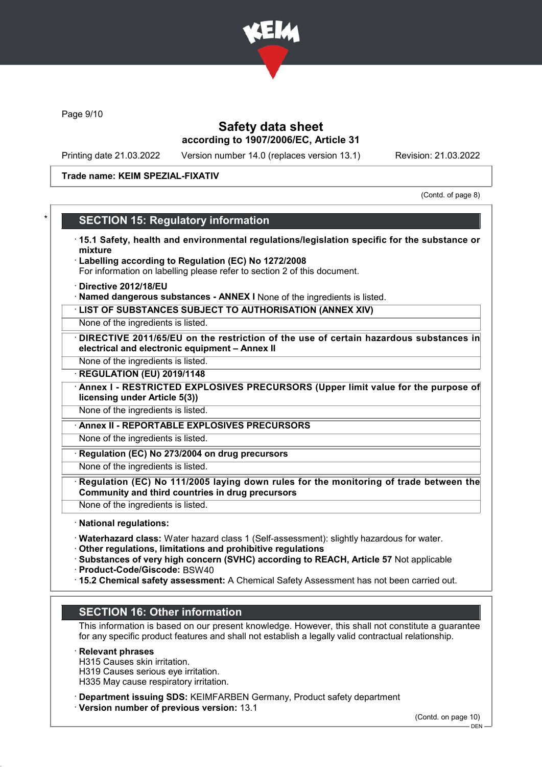

Page 9/10

## Safety data sheet according to 1907/2006/EC, Article 31

Printing date 21.03.2022 Version number 14.0 (replaces version 13.1) Revision: 21.03.2022

### Trade name: KEIM SPEZIAL-FIXATIV

(Contd. of page 8)

## **SECTION 15: Regulatory information**

- · 15.1 Safety, health and environmental regulations/legislation specific for the substance or mixture
- Labelling according to Regulation (EC) No 1272/2008
- For information on labelling please refer to section 2 of this document.
- · Directive 2012/18/EU
- · Named dangerous substances ANNEX I None of the ingredients is listed.
- · LIST OF SUBSTANCES SUBJECT TO AUTHORISATION (ANNEX XIV)

None of the ingredients is listed.

DIRECTIVE 2011/65/EU on the restriction of the use of certain hazardous substances in electrical and electronic equipment – Annex II

None of the ingredients is listed.

- **REGULATION (EU) 2019/1148**
- Annex I RESTRICTED EXPLOSIVES PRECURSORS (Upper limit value for the purpose of licensing under Article 5(3))

None of the ingredients is listed.

· Annex II - REPORTABLE EXPLOSIVES PRECURSORS

None of the ingredients is listed.

Regulation (EC) No 273/2004 on drug precursors

None of the ingredients is listed.

Regulation (EC) No 111/2005 laying down rules for the monitoring of trade between the Community and third countries in drug precursors

None of the ingredients is listed.

· National regulations:

- · Waterhazard class: Water hazard class 1 (Self-assessment): slightly hazardous for water.
- · Other regulations, limitations and prohibitive regulations
- · Substances of very high concern (SVHC) according to REACH, Article 57 Not applicable

· Product-Code/Giscode: BSW40

· 15.2 Chemical safety assessment: A Chemical Safety Assessment has not been carried out.

# SECTION 16: Other information

This information is based on our present knowledge. However, this shall not constitute a guarantee for any specific product features and shall not establish a legally valid contractual relationship.

### · Relevant phrases

H315 Causes skin irritation.

H319 Causes serious eye irritation.

H335 May cause respiratory irritation.

· Department issuing SDS: KEIMFARBEN Germany, Product safety department

· Version number of previous version: 13.1

(Contd. on page 10)

 $-$  DEN